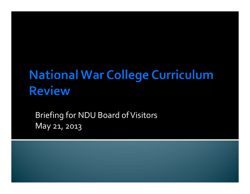## **National War College Curriculum Review**

Briefing for NDU Board of Visitors May 21, 2013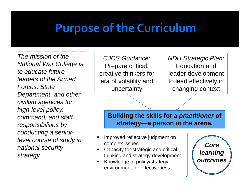### **Purpose of the Curriculum**

*The mission of the National War College is to educate future leaders of the Armed Forces, State Department, and other civilian agencies for high-level policy, command, and staff responsibilities by conducting a seniorlevel course of study in national security strategy.*

*CJCS Guidance:* Prepare critical, creative thinkers for era of volatility and uncertainty

*NDU Strategic Plan:* Education and leader development to lead effectively in changing context

**Building the skills for a** *practitioner* **of strategy—a person in the arena.**

- Ш Improved reflective judgment on complex issues
- Capacity for strategic and critical thinking and strategy development
- П Knowledge of policy/strategy environment for effectiveness

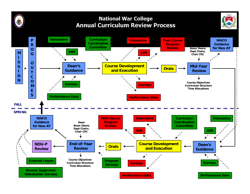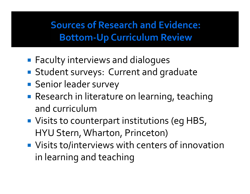#### **Sources of Research and Evidence: Bottom-Up Curriculum Review**

- **Faculty interviews and dialogues**
- **Student surveys: Current and graduate**
- **Senior leader survey**
- **Research in literature on learning, teaching** and curriculum
- **Visits to counterpart institutions (eg HBS,** HYU Stern,Wharton, Princeton)
- **U** Visits to/interviews with centers of innovation in learning and teaching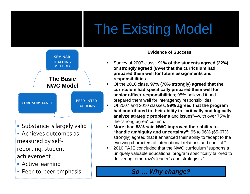# The Existing Model



- Substance is largely valid
- Achieves outcomes as measured by self‐ reporting, student achievement
- Active learning
- Peer-to-peer emphasis

#### **Evidence of Success**

- Survey of 2007 class: **91% of the students agreed (22%) or strongly agreed (69%) that the curriculum had prepared them well for future assignments and responsibilities**.
	- Of the 2010 class, **97% (70% strongly) agreed that the curriculum had specifically prepared them well for senior officer responsibilities**; 95% believed it had prepared them well for interagency responsibilities.
- $\blacksquare$  Of 2007 and 2010 classes, **99% agreed that the program had contributed to their ability to "critically and logically analyze strategic problems** and issues"—with over 75% in the "strong agree" column.
- **More than 88% said NWC improved their ability to "handle ambiguity and uncertainty";** 95 to 96% (65-67% strongly) agreed that it enhanced their ability to "adapt to the evolving characters of international relations and conflict."
- 2010 PAJE concluded that the NWC curriculum "supports a uniquely valuable educational program specifically tailored to delivering tomorrow's leader's and strategists."

#### *So … Why change?*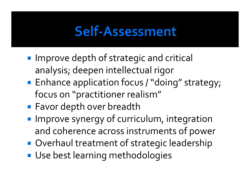## Self-Assessment

- **Improve depth of strategic and critical** analysis; deepen intellectual rigor
- **Enhance application focus / "doing" strategy;** focus on "practitioner realism"
- **Contract Contract Contract Contract Contract Contract Contract Contract Contract Contract Contract Contract Co Favor depth over breadth**
- **Improve synergy of curriculum, integration** and coherence across instruments of power
- **Overhaul treatment of strategic leadership**
- **Use best learning methodologies**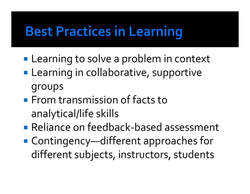## **Best Practices in Learning**

- **Learning to solve a problem in context**
- **Learning in collaborative, supportive** groups
- **From transmission of facts to** analytical/life skills
- Reliance on feedback-based assessment
- Contingency—different approaches for different subjects, instructors, students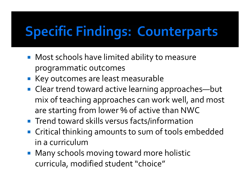## **Specific Findings: Counterparts**

- **Most schools have limited ability to measure** programmatic outcomes
- **Key outcomes are least measurable**
- Clear trend toward active learning approaches—but mix of teaching approaches can work well, and most are starting from lower % of active than NWC
- **Trend toward skills versus facts/information**
- $\mathcal{L}_{\mathcal{A}}$  Critical thinking amounts to sum of tools embedded in <sup>a</sup> curriculum
- Many schools moving toward more holistic curricula, modified student "choice"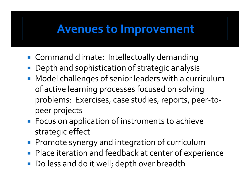#### **Avenues to Improvement**

- Command climate: Intellectually demanding
- Depth and sophistication of strategic analysis
- Model challenges of senior leaders with a curriculum of active learning processes focused on solving problems: Exercises, case studies, reports, peer ‐to ‐ peer projects
- **Focus on application of instruments to achieve** strategic effect
- **Promote synergy and integration of curriculum**
- Place iteration and feedback at center of experience
- **Do less and do it well; depth over breadth**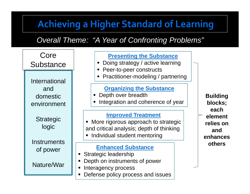#### **Achieving a Higher Standard of Learning**

*Overall Theme: "A Year of Confronting Problems"*